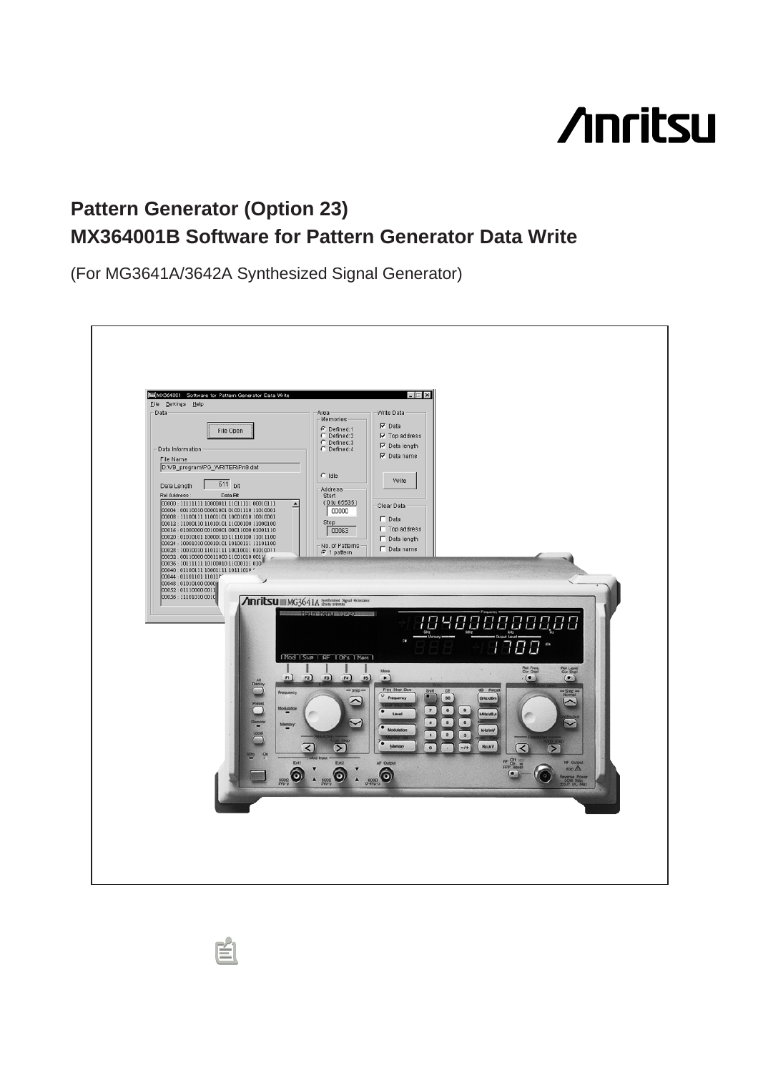# **Anritsu**

## **MX364001B Software for Pattern Generator Data Write Pattern Generator (Option 23)**

(For MG3641A/3642A Synthesized Signal Generator)

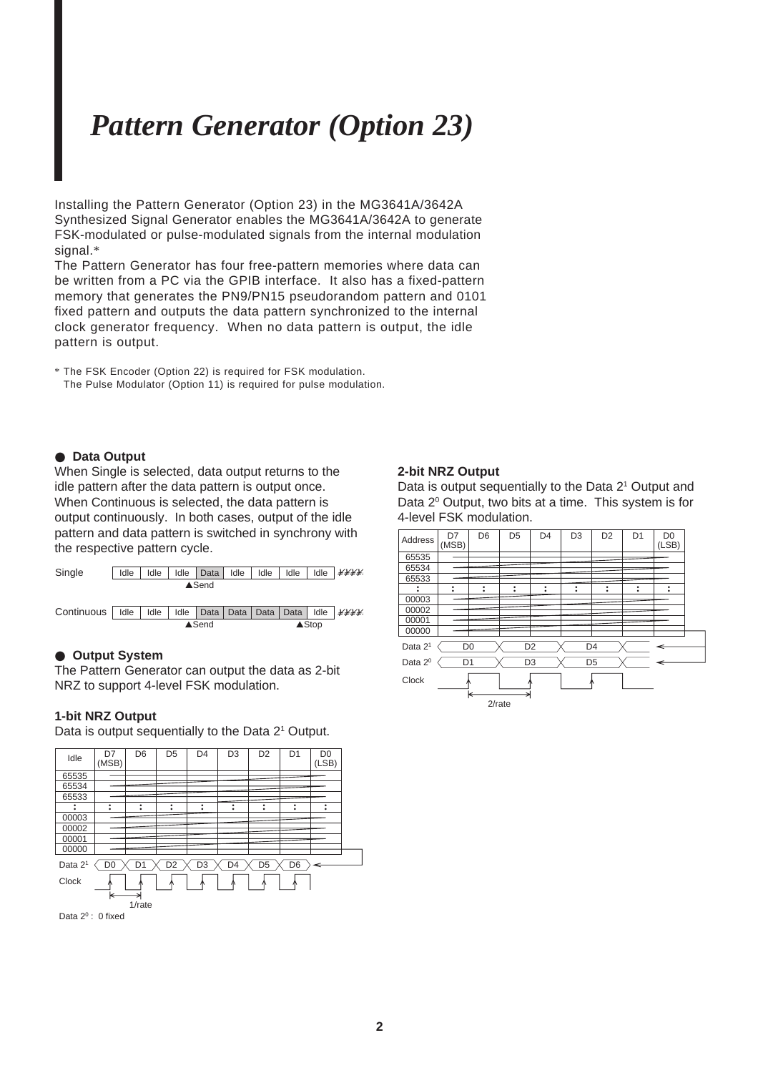## *Pattern Generator (Option 23)*

Installing the Pattern Generator (Option 23) in the MG3641A/3642A Synthesized Signal Generator enables the MG3641A/3642A to generate FSK-modulated or pulse-modulated signals from the internal modulation signal.\*

The Pattern Generator has four free-pattern memories where data can be written from a PC via the GPIB interface. It also has a fixed-pattern memory that generates the PN9/PN15 pseudorandom pattern and 0101 fixed pattern and outputs the data pattern synchronized to the internal clock generator frequency. When no data pattern is output, the idle pattern is output.

\* The FSK Encoder (Option 22) is required for FSK modulation. The Pulse Modulator (Option 11) is required for pulse modulation.

## ● **Data Output**

When Single is selected, data output returns to the idle pattern after the data pattern is output once. When Continuous is selected, the data pattern is output continuously. In both cases, output of the idle pattern and data pattern is switched in synchrony with the respective pattern cycle.



### ● **Output System**

The Pattern Generator can output the data as 2-bit NRZ to support 4-level FSK modulation.

### **1-bit NRZ Output**

Data is output sequentially to the Data 2<sup>1</sup> Output.



## **2-bit NRZ Output**

Data is output sequentially to the Data 2<sup>1</sup> Output and Data 2<sup>°</sup> Output, two bits at a time. This system is for 4-level FSK modulation.

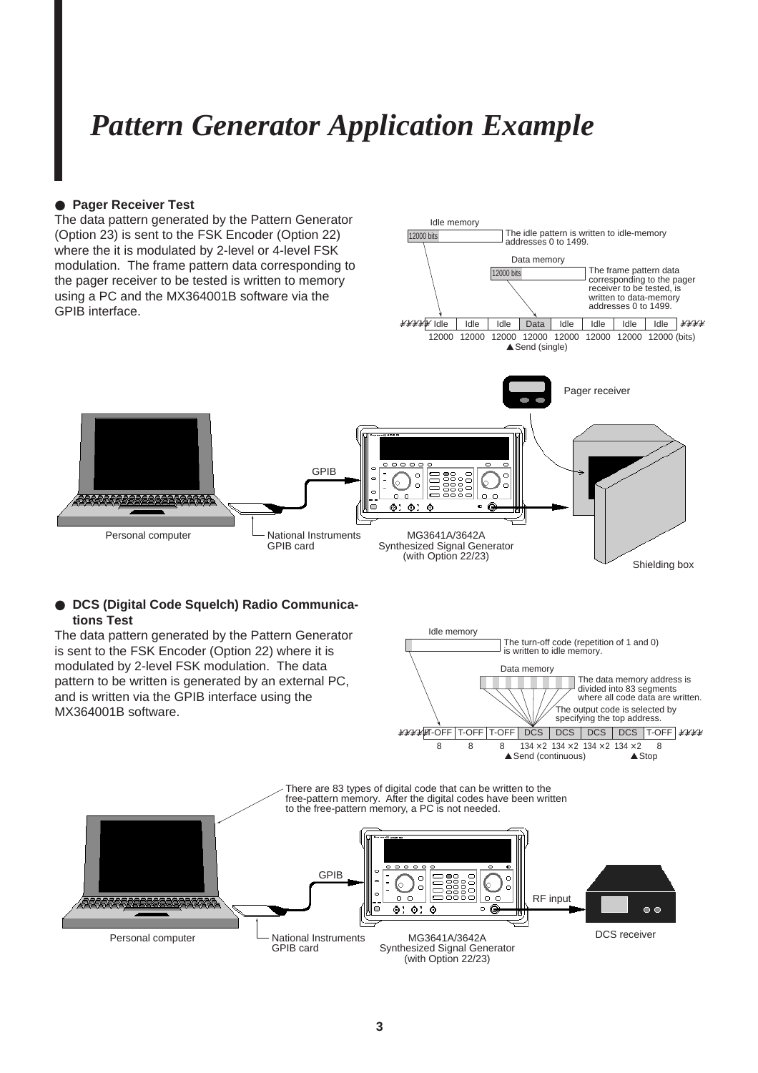## *Pattern Generator Application Example*

## ● **Pager Receiver Test**

1111

The data pattern generated by the Pattern Generator (Option 23) is sent to the FSK Encoder (Option 22) where the it is modulated by 2-level or 4-level FSK modulation. The frame pattern data corresponding to the pager receiver to be tested is written to memory using a PC and the MX364001B software via the GPIB interface.



 $\overline{a}$ 

 $0.0$ 

MG3641A/3642A Synthesized Signal Generator (with Option 22/23)

 $\alpha$ 

 $@:@:@$ 

 $\overline{\circ}$ 

 $\Box$ 

**DCS (Digital Code Squelch) Radio Communica-**

Personal computer  $\Box$  National Instruments

GPIB card

GPIB

**tions Test** The data pattern generated by the Pattern Generator is sent to the FSK Encoder (Option 22) where it is modulated by 2-level FSK modulation. The data pattern to be written is generated by an external PC, and is written via the GPIB interface using the MX364001B software.



Shielding box

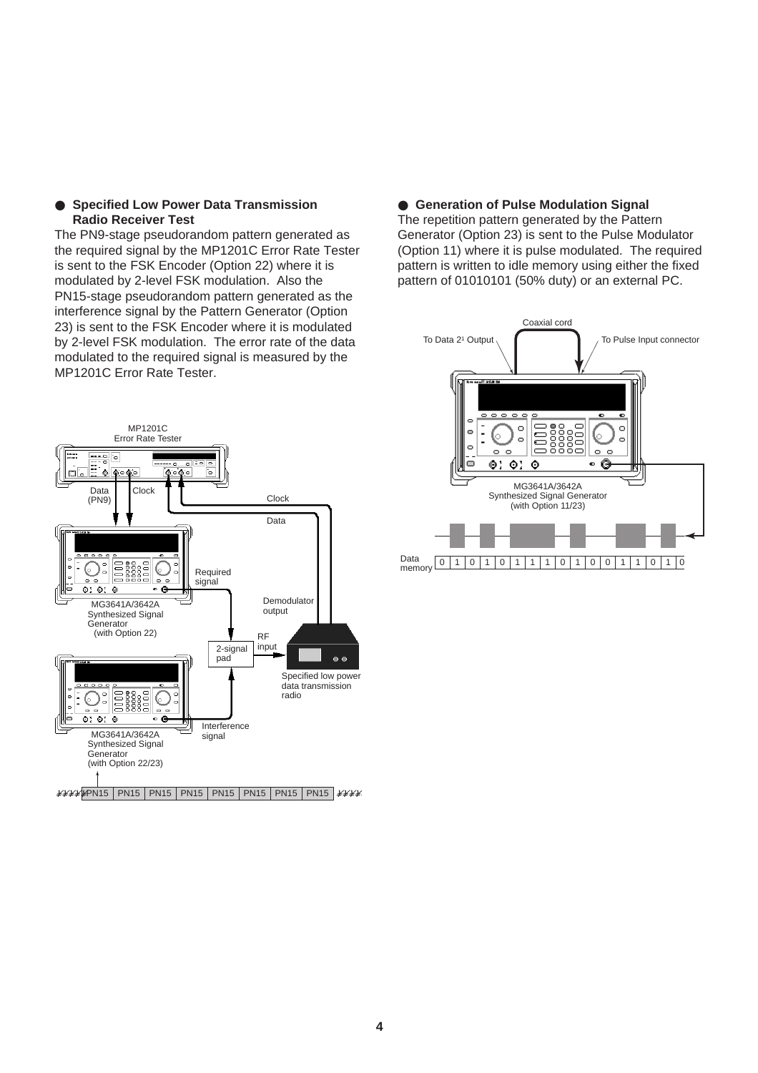## ● **Specified Low Power Data Transmission Radio Receiver Test**

The PN9-stage pseudorandom pattern generated as the required signal by the MP1201C Error Rate Tester is sent to the FSK Encoder (Option 22) where it is modulated by 2-level FSK modulation. Also the PN15-stage pseudorandom pattern generated as the interference signal by the Pattern Generator (Option 23) is sent to the FSK Encoder where it is modulated by 2-level FSK modulation. The error rate of the data modulated to the required signal is measured by the MP1201C Error Rate Tester.



## ● **Generation of Pulse Modulation Signal**

The repetition pattern generated by the Pattern Generator (Option 23) is sent to the Pulse Modulator (Option 11) where it is pulse modulated. The required pattern is written to idle memory using either the fixed pattern of 01010101 (50% duty) or an external PC.

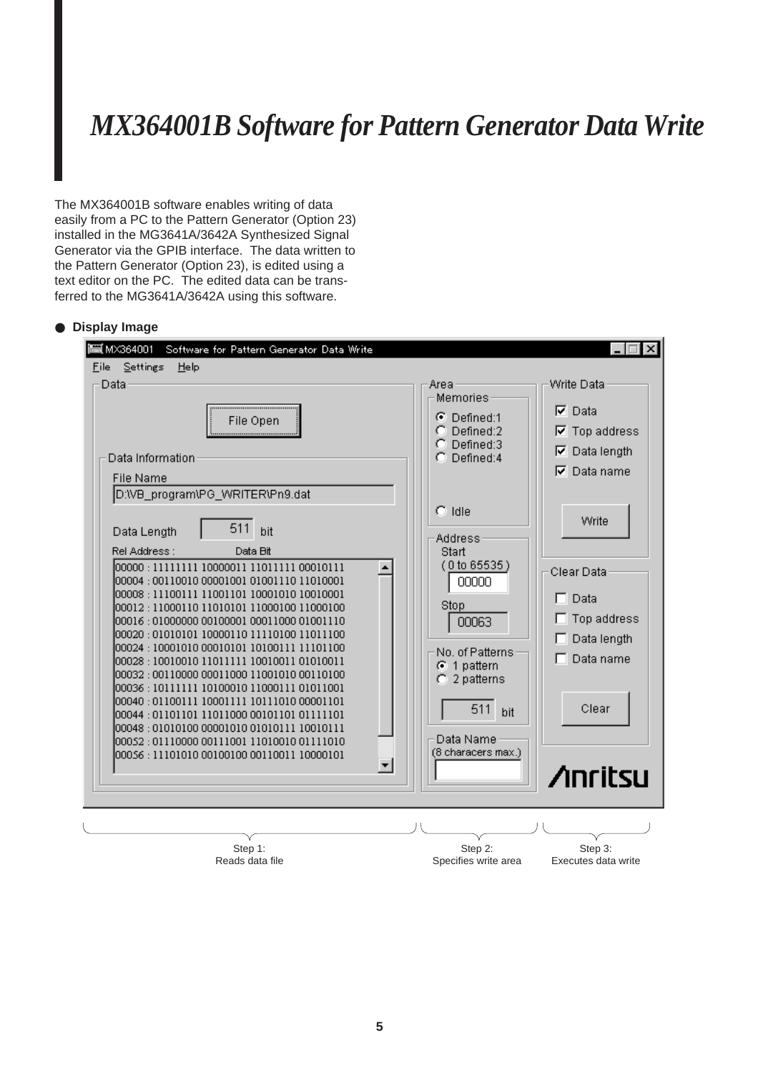## *MX364001B Software for Pattern Generator Data Write*

The MX364001B software enables writing of data easily from a PC to the Pattern Generator (Option 23) installed in the MG3641A/3642A Synthesized Signal Generator via the GPIB interface. The data written to the Pattern Generator (Option 23), is edited using a text editor on the PC. The edited data can be transferred to the MG3641A/3642A using this software.

## ● **Display Image**

| <b>⊟ м×з64001</b><br>Software for Pattern Generator Data Write                                                                                                                                                                                                                                                                                                                                                                                                                                                                                                                                                                                                                                                                                                                                                                                                                   |                                                                                                                                                                                    | $\Box$ $\Box$ $\times$                                                                                         |
|----------------------------------------------------------------------------------------------------------------------------------------------------------------------------------------------------------------------------------------------------------------------------------------------------------------------------------------------------------------------------------------------------------------------------------------------------------------------------------------------------------------------------------------------------------------------------------------------------------------------------------------------------------------------------------------------------------------------------------------------------------------------------------------------------------------------------------------------------------------------------------|------------------------------------------------------------------------------------------------------------------------------------------------------------------------------------|----------------------------------------------------------------------------------------------------------------|
| File<br><u>S</u> ettings<br>Help<br>Data                                                                                                                                                                                                                                                                                                                                                                                                                                                                                                                                                                                                                                                                                                                                                                                                                                         |                                                                                                                                                                                    | Write Data                                                                                                     |
| File Open<br><br>Data Information<br>File Name                                                                                                                                                                                                                                                                                                                                                                                                                                                                                                                                                                                                                                                                                                                                                                                                                                   | Arear<br>Memories<br>$\odot$ Defined:1<br>Defined:2<br>Defined:3<br>n.<br>Defined:4<br>n.                                                                                          | $\nabla$ Data<br>$\nabla$ Top address<br>Data length<br>1⊽<br>⊽<br>Data name                                   |
| D:WB_program\PG_WRITER\Pn9.dat<br>511<br>bit<br>Data Length<br>Rel Address:<br>Data Bit<br>100000 : 11111111 10000011 11011111 00010111<br>00004 : 00110010 00001001 01001110 11010001<br>00008 : 11100111 11001101 10001010 10010001<br>00012 : 11000110 11010101 11000100 11000100<br>00016 : 01000000 00100001 00011000 01001110<br>00020 : 01010101 10000110 11110100 11011100<br>00024 : 10001010 00010101 10100111 11101100<br>00028 : 10010010 11011111 10010011 01010011<br>00032 : 00110000 00011000 11001010 00110100<br>00036 : 10111111 10100010 11000111 01011001<br>00040 : 01100111 10001111 10111010 00001101<br>00044 : 01101101 11011000 00101101 01111101<br>00048 : 01010100 00001010 01010111 10010111<br>00052 : 01110000 00111001 11010010 01111010<br>00056 : 11101010 00100100 00110011 10000101<br>$\vert \hspace{-.06in} \cdot \hspace{-.06in} \vert$ | $\degree$ Idle<br>Address<br>Start<br>(0 to 65535)<br>00000<br>Stop<br>00063<br>No. of Patterns<br>$G$ 1 pattern<br>$C2$ patterns<br>511<br>bit<br>Data Name<br>(8 characers max.) | Write<br>Clear Data<br>Data<br>п<br>Top address<br>Data length<br>$\Box$ Data name<br>Clear<br><b>∕inritsu</b> |
|                                                                                                                                                                                                                                                                                                                                                                                                                                                                                                                                                                                                                                                                                                                                                                                                                                                                                  |                                                                                                                                                                                    |                                                                                                                |
| Step 1:<br>Reads data file                                                                                                                                                                                                                                                                                                                                                                                                                                                                                                                                                                                                                                                                                                                                                                                                                                                       | Step 2:<br>Specifies write area                                                                                                                                                    | Step 3:<br>Executes data write                                                                                 |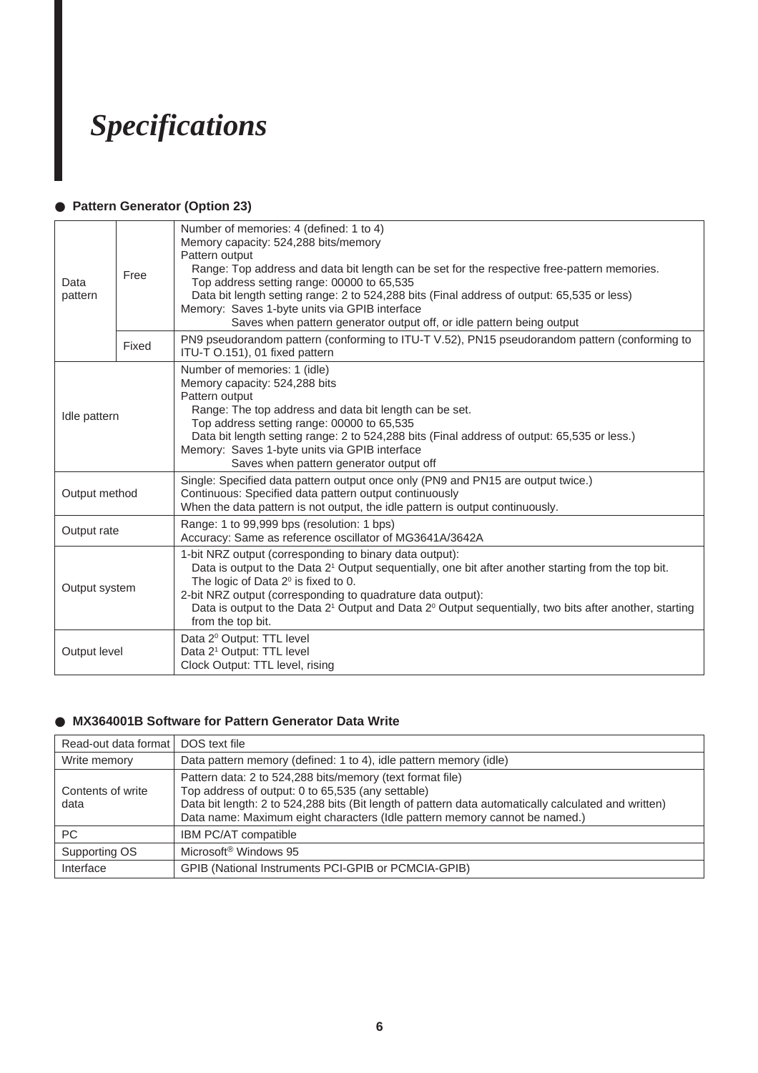## *Specifications*

## ● **Pattern Generator (Option 23)**

| Data<br>pattern | Free  | Number of memories: 4 (defined: 1 to 4)<br>Memory capacity: 524,288 bits/memory<br>Pattern output<br>Range: Top address and data bit length can be set for the respective free-pattern memories.<br>Top address setting range: 00000 to 65,535<br>Data bit length setting range: 2 to 524,288 bits (Final address of output: 65,535 or less)<br>Memory: Saves 1-byte units via GPIB interface<br>Saves when pattern generator output off, or idle pattern being output |
|-----------------|-------|------------------------------------------------------------------------------------------------------------------------------------------------------------------------------------------------------------------------------------------------------------------------------------------------------------------------------------------------------------------------------------------------------------------------------------------------------------------------|
|                 | Fixed | PN9 pseudorandom pattern (conforming to ITU-T V.52), PN15 pseudorandom pattern (conforming to<br>ITU-T O.151), 01 fixed pattern                                                                                                                                                                                                                                                                                                                                        |
| Idle pattern    |       | Number of memories: 1 (idle)<br>Memory capacity: 524,288 bits<br>Pattern output<br>Range: The top address and data bit length can be set.<br>Top address setting range: 00000 to 65,535<br>Data bit length setting range: 2 to 524,288 bits (Final address of output: 65,535 or less.)<br>Memory: Saves 1-byte units via GPIB interface<br>Saves when pattern generator output off                                                                                     |
| Output method   |       | Single: Specified data pattern output once only (PN9 and PN15 are output twice.)<br>Continuous: Specified data pattern output continuously<br>When the data pattern is not output, the idle pattern is output continuously.                                                                                                                                                                                                                                            |
| Output rate     |       | Range: 1 to 99,999 bps (resolution: 1 bps)<br>Accuracy: Same as reference oscillator of MG3641A/3642A                                                                                                                                                                                                                                                                                                                                                                  |
| Output system   |       | 1-bit NRZ output (corresponding to binary data output):<br>Data is output to the Data 2 <sup>1</sup> Output sequentially, one bit after another starting from the top bit.<br>The logic of Data $2^{\circ}$ is fixed to 0.<br>2-bit NRZ output (corresponding to quadrature data output):<br>Data is output to the Data 2 <sup>1</sup> Output and Data 2 <sup>0</sup> Output sequentially, two bits after another, starting<br>from the top bit.                       |
| Output level    |       | Data 2º Output: TTL level<br>Data 2 <sup>1</sup> Output: TTL level<br>Clock Output: TTL level, rising                                                                                                                                                                                                                                                                                                                                                                  |

## ● **MX364001B Software for Pattern Generator Data Write**

| Read-out data format      | DOS text file                                                                                                                                                                                                                                                                                        |  |
|---------------------------|------------------------------------------------------------------------------------------------------------------------------------------------------------------------------------------------------------------------------------------------------------------------------------------------------|--|
| Write memory              | Data pattern memory (defined: 1 to 4), idle pattern memory (idle)                                                                                                                                                                                                                                    |  |
| Contents of write<br>data | Pattern data: 2 to 524,288 bits/memory (text format file)<br>Top address of output: 0 to 65,535 (any settable)<br>Data bit length: 2 to 524,288 bits (Bit length of pattern data automatically calculated and written)<br>Data name: Maximum eight characters (Idle pattern memory cannot be named.) |  |
| PC.                       | <b>IBM PC/AT compatible</b>                                                                                                                                                                                                                                                                          |  |
| Supporting OS             | Microsoft <sup>®</sup> Windows 95                                                                                                                                                                                                                                                                    |  |
| Interface                 | GPIB (National Instruments PCI-GPIB or PCMCIA-GPIB)                                                                                                                                                                                                                                                  |  |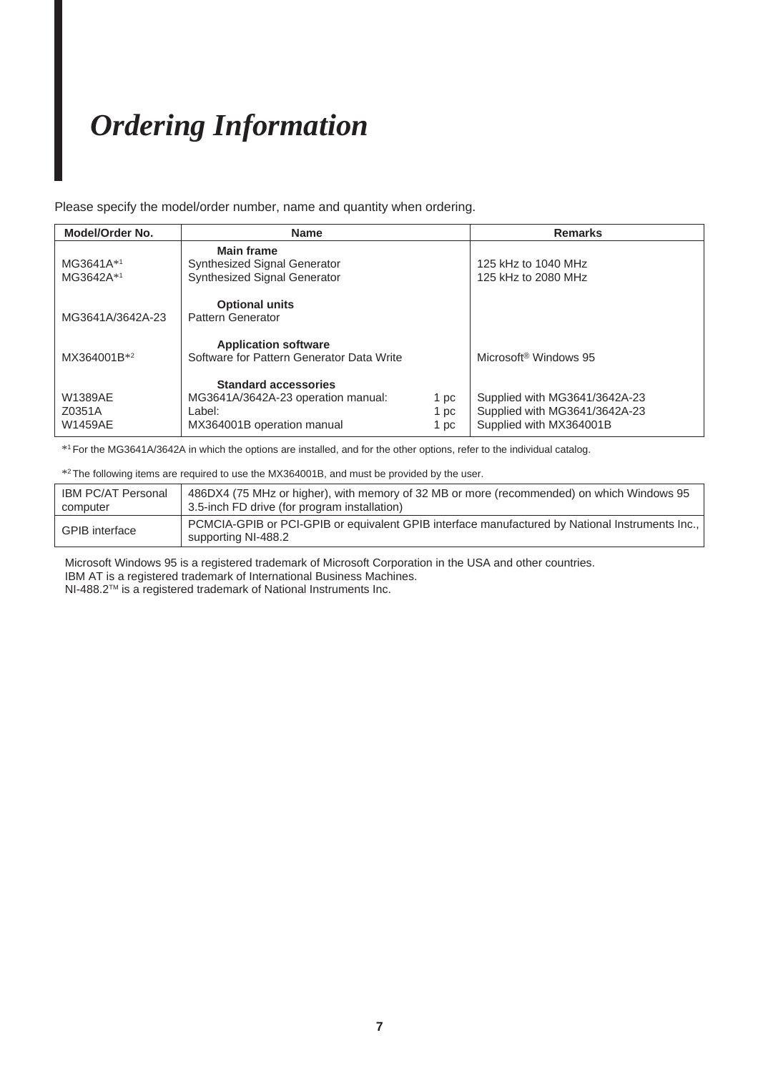## *Ordering Information*

Please specify the model/order number, name and quantity when ordering.

| Model/Order No.                            | <b>Name</b>                                                                                               |                      | <b>Remarks</b>                                                                            |
|--------------------------------------------|-----------------------------------------------------------------------------------------------------------|----------------------|-------------------------------------------------------------------------------------------|
| MG3641A*1<br>MG3642A*1                     | <b>Main frame</b><br>Synthesized Signal Generator<br><b>Synthesized Signal Generator</b>                  |                      | 125 kHz to 1040 MHz<br>125 kHz to 2080 MHz                                                |
| MG3641A/3642A-23                           | <b>Optional units</b><br>Pattern Generator                                                                |                      |                                                                                           |
| MX364001B*2                                | <b>Application software</b><br>Software for Pattern Generator Data Write                                  |                      | Microsoft <sup>®</sup> Windows 95                                                         |
| <b>W1389AE</b><br>Z0351A<br><b>W1459AE</b> | <b>Standard accessories</b><br>MG3641A/3642A-23 operation manual:<br>Label:<br>MX364001B operation manual | 1 pc<br>1 pc<br>1 pc | Supplied with MG3641/3642A-23<br>Supplied with MG3641/3642A-23<br>Supplied with MX364001B |

\*1For the MG3641A/3642A in which the options are installed, and for the other options, refer to the individual catalog.

\*2The following items are required to use the MX364001B, and must be provided by the user.

| <b>IBM PC/AT Personal</b> | 486DX4 (75 MHz or higher), with memory of 32 MB or more (recommended) on which Windows 95                              |
|---------------------------|------------------------------------------------------------------------------------------------------------------------|
| computer                  | 3.5-inch FD drive (for program installation)                                                                           |
| <b>GPIB</b> interface     | PCMCIA-GPIB or PCI-GPIB or equivalent GPIB interface manufactured by National Instruments Inc.,<br>supporting NI-488.2 |

 Microsoft Windows 95 is a registered trademark of Microsoft Corporation in the USA and other countries. IBM AT is a registered trademark of International Business Machines.

NI-488.2TM is a registered trademark of National Instruments Inc.